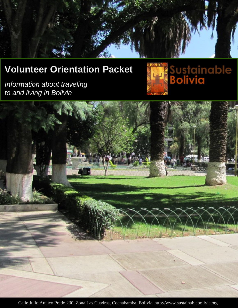

# **Volunteer Orientation Packet**

*Information about traveling to and living in Bolivia*





Calle Julio Arauco Prado 230, Zona Las Cuadras, Cochabamba, Bolivia [http://www.sustainablebolivia.org](http://www.sustainablebolivia.org/)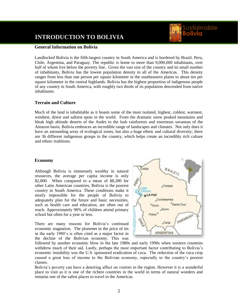# **INTRODUCTION TO BOLIVIA**

#### **General Information on Bolivia**

Landlocked Bolivia is the fifth-largest country in South America and is bordered by Brazil, Peru, Chile, Argentina, and Paraguay. The republic is home to more than 9,000,000 inhabitants, over half of whom live below the poverty line. Given the vast size of the country and its small number of inhabitants, Bolivia has the lowest population density in all of the Americas. This density ranges from less than one person per square kilometer in the southeastern plains to about ten per square kilometer in the central highlands. Bolivia has the highest proportion of indigenous people of any country in South America, with roughly two thirds of its population descended from native inhabitants.

# **Terrain and Culture**

Much of the land is inhabitable as it boasts some of the most isolated, highest, coldest, warmest, windiest, driest and saltiest spots in the world. From the dramatic snow peaked mountains and bleak high altitude deserts of the Andes to the lush rainforests and enormous savannas of the Amazon basin, Bolivia embraces an incredible range of landscapes and climates. Not only does it have an astounding array of ecological zones, but also a huge ethnic and cultural diversity; there are 36 different indigenous groups in the country, which helps create an incredibly rich culture and ethnic traditions.

#### **Economy**

Although Bolivia is immensely wealthy in natural resources, the average per capita income is only \$2,800. When compared to a mean of \$8,200 for other Latin American countries, Bolivia is the poorest country in South America. These conditions make it nearly impossible for the people of Bolivia to adequately plan for the future and basic necessities, such as health care and education, are often out of reach. Approximately 90% of children attend primary school but often for a year or less.

There are many reasons for Bolivia's continued economic stagnation. The plummet in the price of tin in the early 1980's is often cited as a major factor in the decline of the Bolivian economy. This was



Sustainable

followed by another economic blow in the late 1980s and early 1990s when western countries withdrew much of their aid. Lastly, perhaps the most important factor contributing to Bolivia's economic instability was the U.S. sponsored eradication of coca. The reduction of the coca crop caused a great loss of income to the Bolivian economy, especially to the country's poorest classes.

Bolivia's poverty can have a deterring affect on visitors to the region. However it is a wonderful place to visit as it is one of the richest countries in the world in terms of natural wonders and remains one of the safest places to travel in the Americas.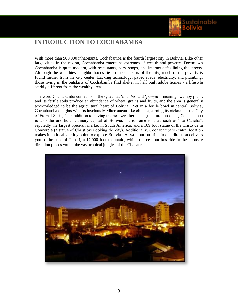

# **INTRODUCTION TO COCHABAMBA**

With more than 900,000 inhabitants, Cochabamba is the fourth largest city in Bolivia. Like other large cities in the region, Cochabamba entertains extremes of wealth and poverty. Downtown Cochabamba is quite modern, with restaurants, bars, shops, and internet cafes lining the streets. Although the wealthiest neighborhoods lie on the outskirts of the city, much of the poverty is found further from the city center. Lacking technology, paved roads, electricity, and plumbing, those living in the outskirts of Cochabamba find shelter in half built adobe homes - a lifestyle starkly different from the wealthy areas.

The word Cochabamba comes from the Quechua '*qhucha*' and '*pampa*', meaning swampy plain, and its fertile soils produce an abundance of wheat, grains and fruits, and the area is generally acknowledged to be the agricultural heart of Bolivia. Set in a fertile bowl in central Bolivia, Cochabamba delights with its luscious Mediterranean-like climate, earning its nickname 'the City of Eternal Spring'. In addition to having the best weather and agricultural products, Cochabamba is also the unofficial culinary capital of Bolivia. It is home to sites such as "La Cancha", reputedly the largest open-air market in South America, and a 109 foot statue of the Cristo de la Concordia (a statue of Christ overlooking the city). Additionally, Cochabamba's central location makes it an ideal starting point to explore Bolivia. A two hour bus ride in one direction delivers you to the base of Tunari, a 17,000 foot mountain, while a three hour bus ride in the opposite direction places you in the vast tropical jungles of the Chapare.

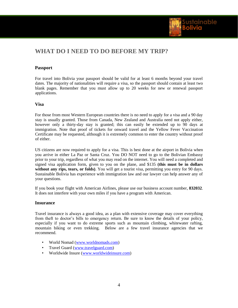

# **WHAT DO I NEED TO DO BEFORE MY TRIP?**

# **Passport**

For travel into Bolivia your passport should be valid for at least 6 months beyond your travel dates. The majority of nationalities will require a visa, so the passport should contain at least two blank pages. Remember that you must allow up to 20 weeks for new or renewal passport applications.

# **Visa**

For those from most Western European countries there is no need to apply for a visa and a 90 day stay is usually granted. Those from Canada, New Zealand and Australia need not apply either, however only a thirty-day stay is granted; this can easily be extended up to 90 days at immigration. Note that proof of tickets for onward travel and the Yellow Fever Vaccination Certificate may be requested, although it is extremely common to enter the country without proof of either.

US citizens are now required to apply for a visa. This is best done at the airport in Bolivia when you arrive in either La Paz or Santa Cruz. You DO NOT need to go to the Bolivian Embassy prior to your trip, regardless of what you may read on the internet. You will need a completed and signed visa application form, given to you on the plane, and \$135 **(this must be in dollars without any rips, tears, or folds)**. You will get a tourist visa, permitting you entry for 90 days. Sustainable Bolivia has experience with immigration law and our lawyer can help answer any of your questions.

If you book your flight with American Airlines, please use our business account number, **832032**. It does not interfere with your own miles if you have a program with American.

# **Insurance**

Travel insurance is always a good idea, as a plan with extensive coverage may cover everything from theft to doctor's bills to emergency return. Be sure to know the details of your policy, especially if you want to do extreme sports such as mountain climbing, whitewater rafting, mountain biking or even trekking. Below are a few travel insurance agencies that we recommend.

- World Nomad [\(www.worldnomads.com\)](http://www.worldnomads.com/)
- Travel Guard [\(www.travelguard.com\)](http://www.travelguard.com/)
- Worldwide Insure [\(www.worldwideinsure.com\)](http://www.worldwideinsure.com/)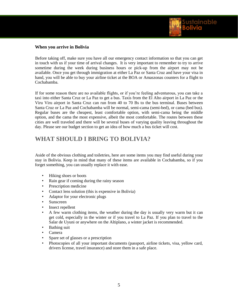

# **When you arrive in Bolivia**

Before taking off, make sure you have all our emergency contact information so that you can get in touch with us if your time of arrival changes. It is very important to remember to try to arrive sometime during the week during business hours or pick-up from the airport may not be available. Once you get through immigration at either La Paz or Santa Cruz and have your visa in hand, you will be able to buy your airline ticket at the BOA or Amaszonas counters for a flight to Cochabamba.

If for some reason there are no available flights, or if you're feeling adventurous, you can take a taxi into either Santa Cruz or La Paz to get a bus. Taxis from the El Alto airport in La Paz or the Viru Viru airport in Santa Cruz can run from 40 to 70 Bs to the bus terminal. Buses between Santa Cruz or La Paz and Cochabamba will be normal, semi-cama (semi-bed), or cama (bed bus). Regular buses are the cheapest, least comfortable option, with semi-cama being the middle option, and the cama the most expensive, albeit the most comfortable. The routes between these cities are well traveled and there will be several buses of varying quality leaving throughout the day. Please see our budget section to get an idea of how much a bus ticket will cost.

# **WHAT SHOULD I BRING TO BOLIVIA?**

Aside of the obvious clothing and toiletries, here are some items you may find useful during your stay in Bolivia. Keep in mind that many of these items are available in Cochabamba, so if you forget something, you can usually replace it with ease.

- Hiking shoes or boots
- Rain gear if coming during the rainy season
- Prescription medicine
- Contact lens solution (this is expensive in Bolivia)
- Adaptor for your electronic plugs
- Sunscreen
- Insect repellent
- A few warm clothing items, the weather during the day is usually very warm but it can get cold, especially in the winter or if you travel to La Paz. If you plan to travel to the Salar de Uyuni or anywhere on the Altiplano, a winter jacket is recommended.
- Bathing suit
- Camera
- Spare set of glasses or a prescription
- Photocopies of all your important documents (passport, airline tickets, visa, yellow card, drivers license, travel insurance) and store them in a safe place.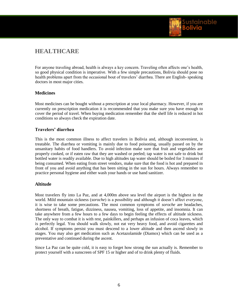

# **HEALTHCARE**

For anyone traveling abroad, health is always a key concern. Traveling often affects one's health, so good physical condition is imperative. With a few simple precautions, Bolivia should pose no health problems apart from the occasional bout of travelers' diarrhea. There are English- speaking doctors in most major cities.

# **Medicines**

Most medicines can be bought without a prescription at your local pharmacy. However, if you are currently on prescription medication it is recommended that you make sure you have enough to cover the period of travel. When buying medication remember that the shelf life is reduced in hot conditions so always check the expiration date.

# **Travelers' diarrhea**

This is the most common illness to affect travelers in Bolivia and, although inconvenient, is treatable. The diarrhea or vomiting is mainly due to food poisoning, usually passed on by the unsanitary habits of food handlers. To avoid infection make sure that fruit and vegetables are properly cooked, or if eaten raw that they are washed or peeled; tap water is not safe to drink but bottled water is readily available. Due to high altitudes tap water should be boiled for 3 minutes if being consumed. When eating from street vendors, make sure that the food is hot and prepared in front of you and avoid anything that has been sitting in the sun for hours. Always remember to practice personal hygiene and either wash your hands or use hand sanitizer.

# **Altitude**

Most travelers fly into La Paz, and at 4,000m above sea level the airport is the highest in the world. Mild mountain sickness (*soroche*) is a possibility and although it doesn't affect everyone, it is wise to take some precautions. The most common symptoms of *soroche* are headaches, shortness of breath, fatigue, dizziness, nausea, vomiting, loss of appetite, and insomnia. It can take anywhere from a few hours to a few days to begin feeling the effects of altitude sickness. The only way to combat it is with rest, painkillers, and perhaps an infusion of coca leaves, which is perfectly legal. You should walk slowly, not eat very heavy food, and avoid cigarettes and alcohol. If symptoms persist you must descend to a lower altitude and then ascend slowly in stages. You may also get medication such as Acetazolamide (Diamox) which can be used as a preventative and continued during the ascent.

Since La Paz can be quite cold, it is easy to forget how strong the sun actually is. Remember to protect yourself with a sunscreen of SPF 15 or higher and of to drink plenty of fluids.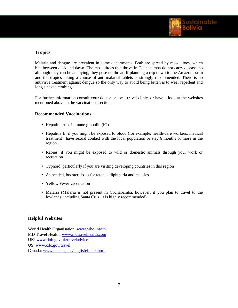

# **Tropics**

Malaria and dengue are prevalent in some departments. Both are spread by mosquitoes, which bite between dusk and dawn. The mosquitoes that thrive in Cochabamba do not carry disease, so although they can be annoying, they pose no threat. If planning a trip down to the Amazon basin and the tropics taking a course of anti-malarial tablets is strongly recommended. There is no antivirus treatment against dengue so the only way to avoid being bitten is to wear repellent and long sleeved clothing.

For further information consult your doctor or local travel clinic, or have a look at the websites mentioned above in the vaccinations section.

# **Recommended Vaccinations**

- Hepatitis A or immune globulin (IG).
- Hepatitis B, if you might be exposed to blood (for example, health-care workers, medical treatment), have sexual contact with the local population or stay 6 months or more in the region.
- Rabies, if you might be exposed to wild or domestic animals through your work or recreation
- Typhoid, particularly if you are visiting developing countries in this region
- As needed, booster doses for tetanus-diphtheria and measles
- Yellow Fever vaccination
- Malaria (Malaria is not present in Cochabamba, however, if you plan to travel to the lowlands, including Santa Cruz, it is highly recommended)

# **Helpful Websites**

World Health Organisation: [www.who.int/ith](http://www.who.int/ith) MD Travel Health: [www.mdtravelhealth.com](http://www.mdtravelhealth.com/) UK[: www.doh.gov.uk/traveladvice](http://www.doh.gov.uk/traveladvice) US: [www.cdc.gov/travel](http://www.cdc.gov/travel) Canada: www.hc-sc.gc.ca/english/index.html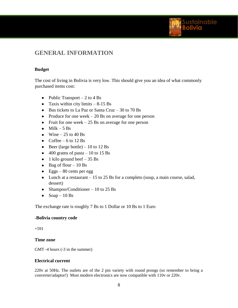

# **GENERAL INFORMATION**

# **Budget**

The cost of living in Bolivia is very low. This should give you an idea of what commonly purchased items cost:

- Public Transport  $-2$  to 4 Bs
- Taxis within city limits  $-8-15$  Bs
- $\bullet$  Bus tickets to La Paz or Santa Cruz 30 to 70 Bs
- Produce for one week  $-20$  Bs on average for one person
- Fruit for one week  $-25$  Bs on average for one person
- $\bullet$  Milk 5 Bs
- $\bullet$  Wine 25 to 40 Bs
- Coffee 6 to 12 Bs
- $\bullet$  Beer (large bottle) 10 to 12 Bs
- $\bullet$  400 grams of pasta 10 to 15 Bs
- 1 kilo ground beef  $-35$  Bs
- $\bullet$  Bag of flour 10 Bs
- $\text{Eggs} 80 \text{ cents per egg}$
- Lunch at a restaurant 15 to 25 Bs for a completo (soup, a main course, salad, dessert)
- Shampoo/Conditioner 10 to 25 Bs
- $\bullet$  Soap 10 Bs

The exchange rate is roughly 7 Bs to 1 Dollar or 10 Bs to 1 Euro

# **-Bolivia country code**

+591

# **Time zone**

GMT -4 hours (-3 in the summer)

# **Electrical current**

220v at 50Hz. The outlets are of the 2 pin variety with round prongs (so remember to bring a converter/adaptor!) Most modern electronics are now compatible with 110v or 220v.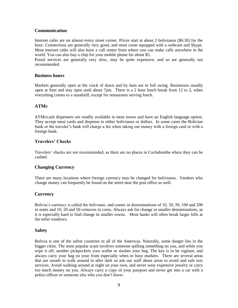# **Communication**

Internet cafes are on almost every street corner. Prices start at about 2 bolivianos (\$0.30) for the hour. Connections are generally very good, and most come equipped with a webcam and Skype. Most internet cafes will also have a call center from where you can make calls anywhere in the world. You can also buy a chip for your mobile phone for about \$5.

Postal services are generally very slow, may be quite expensive, and so are generally not recommended.

#### **Business hours**

Markets generally open at the crack of dawn and by 6am are in full swing. Businesses usually open at 9am and stay open until about 7pm. There is a 2 hour lunch break from 12 to 2, when everything comes to a standstill, except for restaurants serving lunch.

# **ATMs**

ATMs/cash dispensers are readily available in most towns and have an English language option. They accept most cards and dispense in either bolivianos or dollars. In some cases the Bolivian bank or the traveler's bank will charge a fee when taking out money with a foreign card or with a foreign bank.

# **Travelers' Checks**

Travelers' checks are not recommended, as there are no places in Cochabamba where they can be cashed.

# **Changing Currency**

There are many locations where foreign currency may be changed for bolivianos. Vendors who change money can frequently be found on the street near the post office as well.

#### **Currency**

Bolivia's currency is called the boliviano, and comes in denominations of 10, 20, 50, 100 and 200 in notes and 10, 20 and 50 centavos in coins. Always ask for change in smaller denominations, as it is especially hard to find change in smaller towns. Most banks will often break larger bills at the teller windows.

# **Safety**

Bolivia is one of the safest countries in all of the Americas. Naturally, some danger lies in the bigger cities. The most popular scam involves someone spilling something on you, and while you wipe it off, another pickpockets your wallet or slashes your bag. The key is to be vigilant, and always carry your bag on your front especially when in busy markets. There are several areas that are unsafe to walk around in after dark so ask our staff about areas to avoid and safe taxi services. Avoid walking around at night on your own, and never wear expensive jewelry or carry too much money on you. Always carry a copy of your passport and never get into a car with a police officer or someone else who you don't know.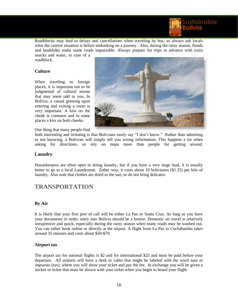

Roadblocks may lead to delays and cancellations when traveling by bus, so always ask locals what the current situation is before embarking on a journey. Also, during the rainy season, floods and landslides make some roads impassable. Always prepare for trips in advance with extra snacks and water, in case of a

roadblock.

# **Culture**

When traveling to foreign places, it is important not to be judgmental of cultural norms that may seem odd to you. In Bolivia, a casual greeting upon entering and exiting a room is very important. A kiss on the cheek is common and in some places a kiss on both cheeks.



One thing that many people find

both interesting and irritating is that Bolivians rarely say "I don't know." Rather than admitting to not knowing, a Bolivian will simply tell you wrong information. This happens a lot when asking for directions, so rely on maps more than people for getting around.

#### **Laundry**

Housekeepers are often open to doing laundry, but if you have a very large load, it is usually better to go to a local Laundromat. Either way, it costs about 10 bolivianos (\$1.35) per kilo of laundry. Also note that clothes are dried in the sun, so do not bring delicates.

# **TRANSPORTATION**

#### **By Air**

It is likely that your first port of call will be either La Paz or Santa Cruz. As long as you have your documents in order, entry into Bolivia should be a breeze. Domestic air travel is relatively inexpensive and quick, especially during the rainy season when many roads may be washed out. You can either book online or directly at the airport. A flight from La Paz to Cochabamba takes around 35 minutes and costs about \$50-\$70.

# **Airport tax**

The airport tax for national flights is \$2 and for international \$25 and must be paid before your departure. All airports will have a desk or cabin that might be labeled with the word *tasa* or *impuesto* (tax), where you will show your ticket and pay the fee. In exchange you will be given a sticker or ticket that must be shown with your ticket when you begin to board your flight.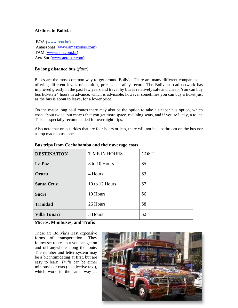# **Airlines in Bolivia**

BOA [\(www.boa.bo\)](http://www.boa.bo/) Amaszonas [\(www.amaszonas.com\)](http://www.amaszonas.com/) TAM [\(www.tam.com.br\)](http://www.tam.com.br/) AeroSur [\(www.aerosur.com\)](http://www.aerosur.com/)

# **By long distance bus** (*flota*)

Buses are the most common way to get around Bolivia. There are many different companies all offering different levels of comfort, price, and safety record. The Bolivian road network has improved greatly in the past few years and travel by bus is relatively safe and cheap. You can buy bus tickets 24 hours in advance, which is advisable, however sometimes you can buy a ticket just as the bus is about to leave, for a lower price.

On the major long haul routes there may also be the option to take a sleeper bus option, which costs about twice, but means that you get more space, reclining seats, and if you're lucky, a toilet. This is especially recommended for overnight trips.

Also note that on bus rides that are four hours or less, there will not be a bathroom on the bus nor a stop made to use one.

| <b>DESTINATION</b>  | <b>TIME IN HOURS</b> | <b>COST</b> |
|---------------------|----------------------|-------------|
| La Paz              | 8 to 10 Hours        | \$5         |
| Oruru               | 4 Hours              | \$3         |
| <b>Santa Cruz</b>   | 10 to 12 Hours       | \$7         |
| <b>Sucre</b>        | 10 Hours             | \$6         |
| <b>Trinidad</b>     | 26 Hours             | \$8         |
| <b>Villa Tunari</b> | 3 Hours              | \$2         |

#### **Bus trips from Cochabamba and their average costs**

# **Micros, Minibuses, and Trufis**

These are Bolivia's least expensive forms of transportation. They follow set routes, but you can get on and off anywhere along the route. The number and letter system may be a bit intimidating at first, but are easy to learn. *Trufis* can be either minibuses or cars (a collective taxi), which work in the same way as

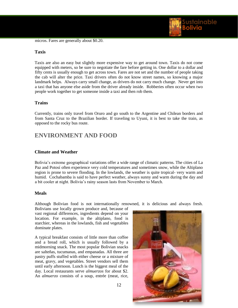

micros. Fares are generally about \$0.20.

#### **Taxis**

Taxis are also an easy but slightly more expensive way to get around town. Taxis do not come equipped with meters, so be sure to negotiate the fare before getting in. One dollar to a dollar and fifty cents is usually enough to get across town. Fares are not set and the number of people taking the cab will alter the price. Taxi drivers often do not know street names, so knowing a major landmark helps. Always carry small change, as drivers do not carry much change. Never get into a taxi that has anyone else aside from the driver already inside. Robberies often occur when two people work together to get someone inside a taxi and then rob them.

# **Trains**

Currently, trains only travel from Oruro and go south to the Argentine and Chilean borders and from Santa Cruz to the Brazilian border. If traveling to Uyuni, it is best to take the train, as opposed to the rocky bus route.

# **ENVIRONMENT AND FOOD**

# **Climate and Weather**

Bolivia's extreme geographical variations offer a wide range of climatic patterns. The cities of La Paz and Potosí often experience very cold temperatures and sometimes snow, while the Altiplano region is prone to severe flooding. In the lowlands, the weather is quite tropical- very warm and humid. Cochabamba is said to have perfect weather, always sunny and warm during the day and a bit cooler at night. Bolivia's rainy season lasts from November to March.

#### **Meals**

Although Bolivian food is not internationally renowned, it is delicious and always fresh.

Bolivians use locally grown produce and, because of vast regional differences, ingredients depend on your location. For example, in the altiplano, food is starchier, whereas in the lowlands, fish and vegetables dominate plates.

A typical breakfast consists of little more than coffee and a bread roll, which is usually followed by a midmorning snack. The most popular Bolivian snacks are salteñas, tucumanas, and empanadas. All three are pastry puffs stuffed with either cheese or a mixture of meat, gravy, and vegetables. Street vendors sell them until early afternoon. Lunch is the biggest meal of the day. Local restaurants serve *almuerzos* for about \$2. An *almuerzo* consists of a soup, entrée (meat, rice,

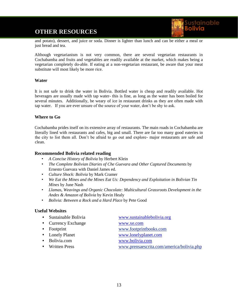# **OTHER RESOURCES**



and potato), dessert, and juice or soda. Dinner is lighter than lunch and can be either a meal or just bread and tea.

Although vegetarianism is not very common, there are several vegetarian restaurants in Cochabamba and fruits and vegetables are readily available at the market, which makes being a vegetarian completely do-able. If eating at a non-vegetarian restaurant, be aware that your meat substitute will most likely be more rice.

# **Water**

It is not safe to drink the water in Bolivia. Bottled water is cheap and readily available. Hot beverages are usually made with tap water- this is fine, as long as the water has been boiled for several minutes. Additionally, be weary of ice in restaurant drinks as they are often made with tap water. If you are ever unsure of the source of your water, don't be shy to ask.

# **Where to Go**

Cochabamba prides itself on its extensive array of restaurants. The main roads in Cochabamba are literally lined with restaurants and cafes, big and small. There are far too many good eateries in the city to list them all. Don't be afraid to go out and explore- major restaurants are safe and clean.

# **Recommended Bolivia related reading**

- *A Concise History of Bolivia* by Herbert Klein
- *The Complete Bolivian Diaries of Che Guevara and Other Captured Documents* by Ernesto Guevara with Daniel James ed.
- *Culture Shock: Bolivia* by Mark Cramer
- *We Eat the Mines and the Mines Eat Us: Dependency and Exploitation in Bolivian Tin Mines* by June Nash
- *Llamas, Weavings and Organic Chocolate: Multicultural Grassroots Development in the Andes & Amazon of Bolivia* by Kevin Healy
- *Bolivia: Between a Rock and a Hard Place* by Pete Good

# **Useful Websites**

| • Sustainable Bolivia | www.sustainablebolivia.org                |
|-----------------------|-------------------------------------------|
| • Currency Exchange   | www.xe.com                                |
| • Footprint           | www.footprintbooks.com                    |
| • Lonely Planet       | www.lonelyplanet.com                      |
| • Bolivia.com         | www.bolivia.com                           |
| • Written Press       | www.prensaescrita.com/america/bolivia.php |
|                       |                                           |